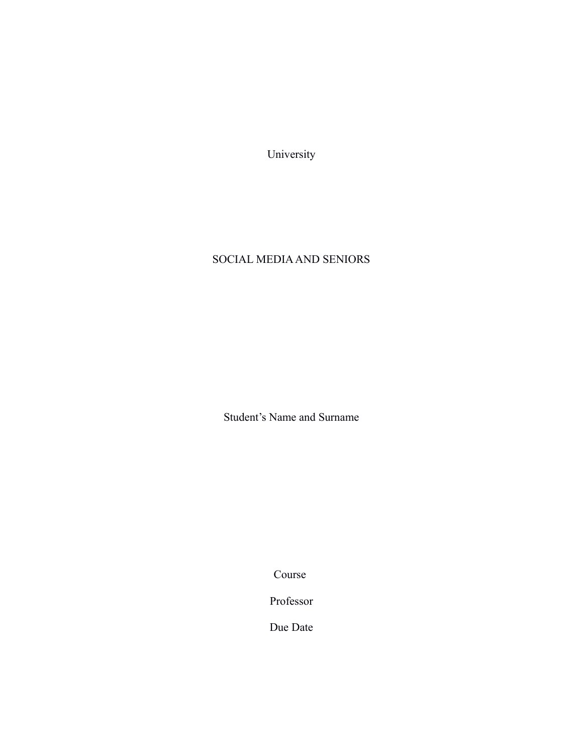University

## SOCIAL MEDIA AND SENIORS

Student's Name and Surname

Course

Professor

Due Date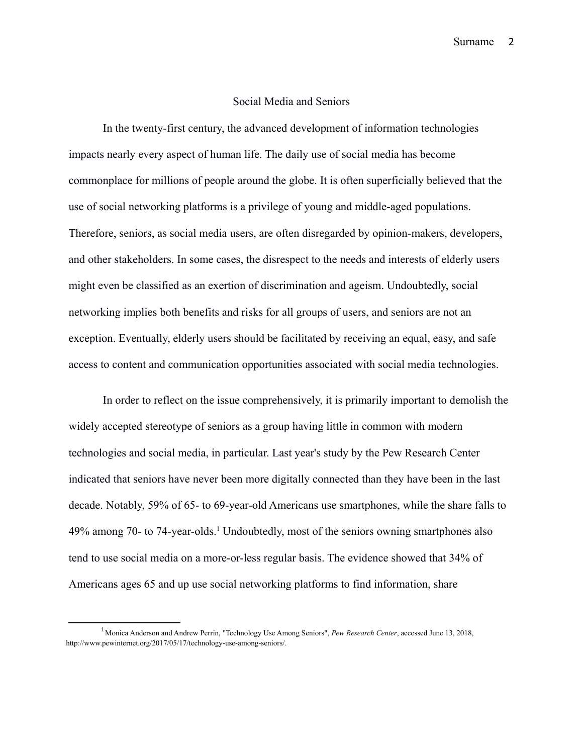## Social Media and Seniors

In the twenty-first century, the advanced development of information technologies impacts nearly every aspect of human life. The daily use of social media has become commonplace for millions of people around the globe. It is often superficially believed that the use of social networking platforms is a privilege of young and middle-aged populations. Therefore, seniors, as social media users, are often disregarded by opinion-makers, developers, and other stakeholders. In some cases, the disrespect to the needs and interests of elderly users might even be classified as an exertion of discrimination and ageism. Undoubtedly, social networking implies both benefits and risks for all groups of users, and seniors are not an exception. Eventually, elderly users should be facilitated by receiving an equal, easy, and safe access to content and communication opportunities associated with social media technologies.

In order to reflect on the issue comprehensively, it is primarily important to demolish the widely accepted stereotype of seniors as a group having little in common with modern technologies and social media, in particular. Last year's study by the Pew Research Center indicated that seniors have never been more digitally connected than they have been in the last decade. Notably, 59% of 65- to 69-year-old Americans use smartphones, while the share falls to 49% among 70- to 74-year-olds.<sup>[1](#page-1-0)</sup> Undoubtedly, most of the seniors owning smartphones also tend to use social media on a more-or-less regular basis. The evidence showed that 34% of Americans ages 65 and up use social networking platforms to find information, share

<span id="page-1-0"></span><sup>&</sup>lt;sup>1</sup> Monica Anderson and Andrew Perrin, "Technology Use Among Seniors", Pew Research Center, accessed June 13, 2018, [http://www.pewinternet.org/2017/05/17/technology-use-among-seniors/.](http://www.pewinternet.org/2017/05/17/technology-use-among-seniors/)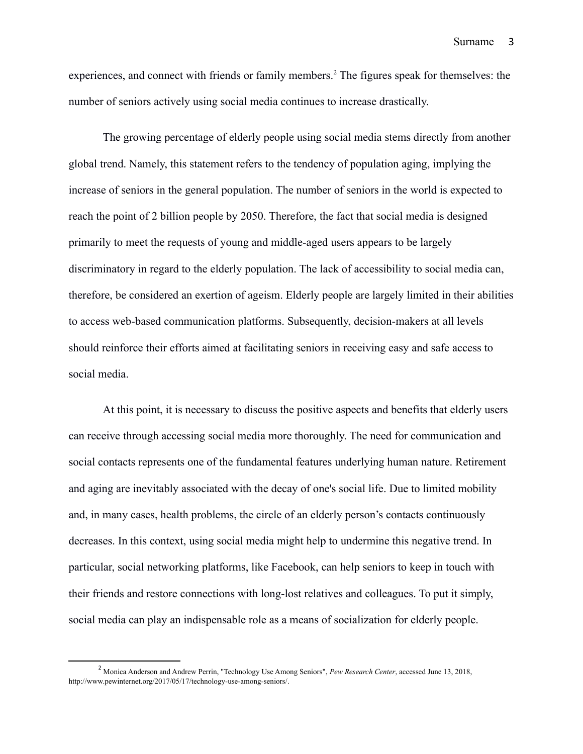experiences, and connect with friends or family members.<sup>[2](#page-2-0)</sup> The figures speak for themselves: the number of seniors actively using social media continues to increase drastically.

The growing percentage of elderly people using social media stems directly from another global trend. Namely, this statement refers to the tendency of population aging, implying the increase of seniors in the general population. The number of seniors in the world is expected to reach the point of 2 billion people by 2050. Therefore, the fact that social media is designed primarily to meet the requests of young and middle-aged users appears to be largely discriminatory in regard to the elderly population. The lack of accessibility to social media can, therefore, be considered an exertion of ageism. Elderly people are largely limited in their abilities to access web-based communication platforms. Subsequently, decision-makers at all levels should reinforce their efforts aimed at facilitating seniors in receiving easy and safe access to social media.

At this point, it is necessary to discuss the positive aspects and benefits that elderly users can receive through accessing social media more thoroughly. The need for communication and social contacts represents one of the fundamental features underlying human nature. Retirement and aging are inevitably associated with the decay of one's social life. Due to limited mobility and, in many cases, health problems, the circle of an elderly person's contacts continuously decreases. In this context, using social media might help to undermine this negative trend. In particular, social networking platforms, like Facebook, can help seniors to keep in touch with their friends and restore connections with long-lost relatives and colleagues. To put it simply, social media can play an indispensable role as a means of socialization for elderly people.

<span id="page-2-0"></span><sup>2</sup> Monica Anderson and Andrew Perrin, "Technology Use Among Seniors", *Pew Research Center*, accessed June 13, 2018, [http://www.pewinternet.org/2017/05/17/technology-use-among-seniors/.](http://www.pewinternet.org/2017/05/17/technology-use-among-seniors/)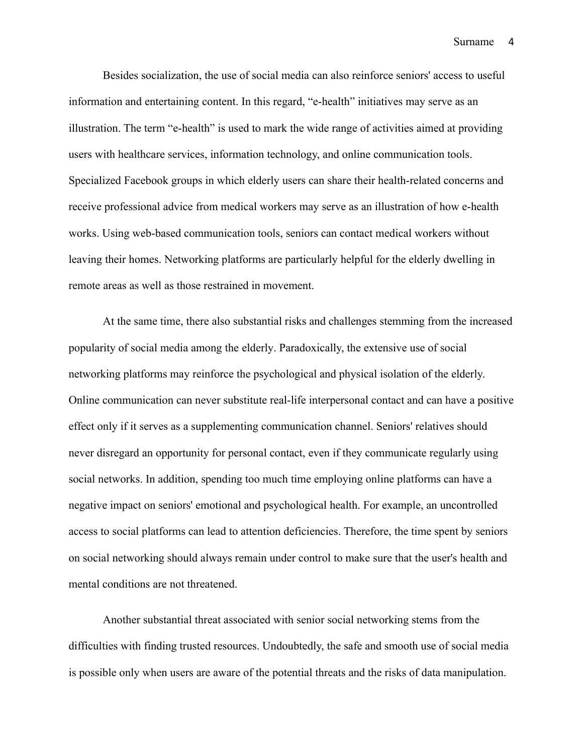Besides socialization, the use of social media can also reinforce seniors' access to useful information and entertaining content. In this regard, "e-health" initiatives may serve as an illustration. The term "e-health" is used to mark the wide range of activities aimed at providing users with healthcare services, information technology, and online communication tools. Specialized Facebook groups in which elderly users can share their health-related concerns and receive professional advice from medical workers may serve as an illustration of how e-health works. Using web-based communication tools, seniors can contact medical workers without leaving their homes. Networking platforms are particularly helpful for the elderly dwelling in remote areas as well as those restrained in movement.

At the same time, there also substantial risks and challenges stemming from the increased popularity of social media among the elderly. Paradoxically, the extensive use of social networking platforms may reinforce the psychological and physical isolation of the elderly. Online communication can never substitute real-life interpersonal contact and can have a positive effect only if it serves as a supplementing communication channel. Seniors' relatives should never disregard an opportunity for personal contact, even if they communicate regularly using social networks. In addition, spending too much time employing online platforms can have a negative impact on seniors' emotional and psychological health. For example, an uncontrolled access to social platforms can lead to attention deficiencies. Therefore, the time spent by seniors on social networking should always remain under control to make sure that the user's health and mental conditions are not threatened.

Another substantial threat associated with senior social networking stems from the difficulties with finding trusted resources. Undoubtedly, the safe and smooth use of social media is possible only when users are aware of the potential threats and the risks of data manipulation.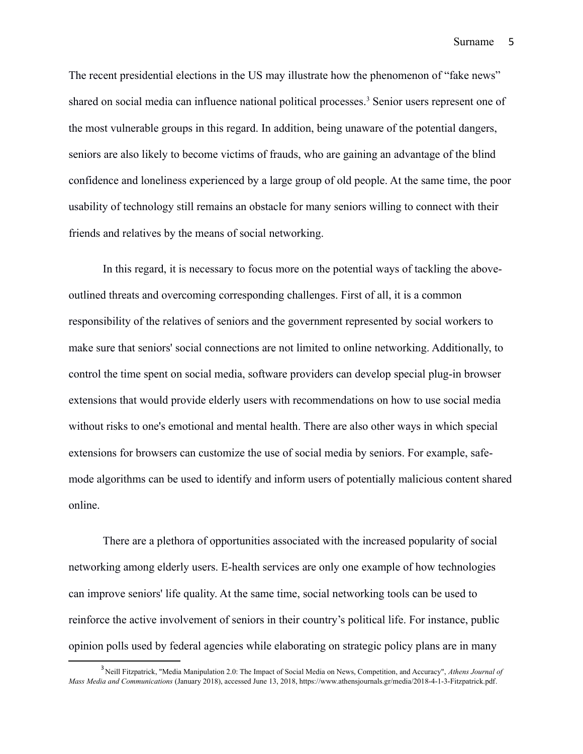The recent presidential elections in the US may illustrate how the phenomenon of "fake news" shared on social media can influence national political processes.<sup>[3](#page-4-0)</sup> Senior users represent one of the most vulnerable groups in this regard. In addition, being unaware of the potential dangers, seniors are also likely to become victims of frauds, who are gaining an advantage of the blind confidence and loneliness experienced by a large group of old people. At the same time, the poor usability of technology still remains an obstacle for many seniors willing to connect with their friends and relatives by the means of social networking.

In this regard, it is necessary to focus more on the potential ways of tackling the aboveoutlined threats and overcoming corresponding challenges. First of all, it is a common responsibility of the relatives of seniors and the government represented by social workers to make sure that seniors' social connections are not limited to online networking. Additionally, to control the time spent on social media, software providers can develop special plug-in browser extensions that would provide elderly users with recommendations on how to use social media without risks to one's emotional and mental health. There are also other ways in which special extensions for browsers can customize the use of social media by seniors. For example, safemode algorithms can be used to identify and inform users of potentially malicious content shared online.

There are a plethora of opportunities associated with the increased popularity of social networking among elderly users. E-health services are only one example of how technologies can improve seniors' life quality. At the same time, social networking tools can be used to reinforce the active involvement of seniors in their country's political life. For instance, public opinion polls used by federal agencies while elaborating on strategic policy plans are in many

<span id="page-4-0"></span><sup>3</sup> Neill Fitzpatrick, "Media Manipulation 2.0: The Impact of Social Media on News, Competition, and Accuracy", *Athens Journal of Mass Media and Communications* (January 2018), accessed June 13, 2018, [https://www.athensjournals.gr/media/2018-4-1-3-Fitzpatrick.pdf.](https://www.athensjournals.gr/media/2018-4-1-3-Fitzpatrick.pdf)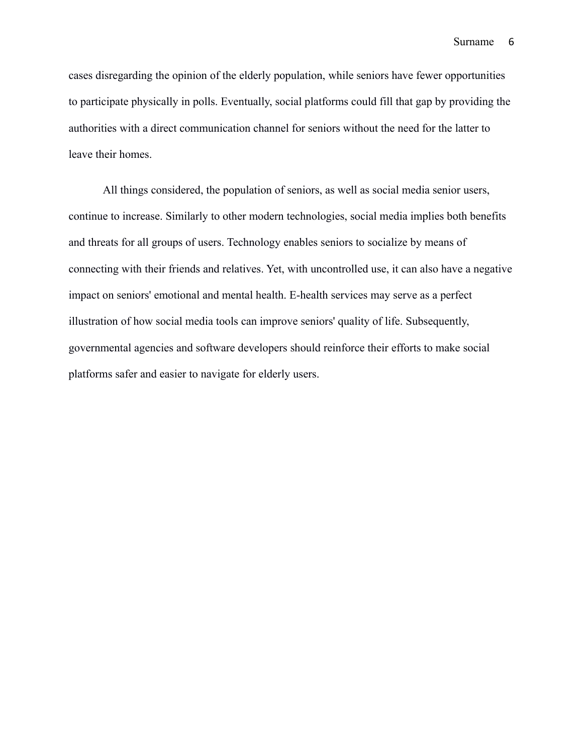cases disregarding the opinion of the elderly population, while seniors have fewer opportunities to participate physically in polls. Eventually, social platforms could fill that gap by providing the authorities with a direct communication channel for seniors without the need for the latter to leave their homes.

All things considered, the population of seniors, as well as social media senior users, continue to increase. Similarly to other modern technologies, social media implies both benefits and threats for all groups of users. Technology enables seniors to socialize by means of connecting with their friends and relatives. Yet, with uncontrolled use, it can also have a negative impact on seniors' emotional and mental health. E-health services may serve as a perfect illustration of how social media tools can improve seniors' quality of life. Subsequently, governmental agencies and software developers should reinforce their efforts to make social platforms safer and easier to navigate for elderly users.